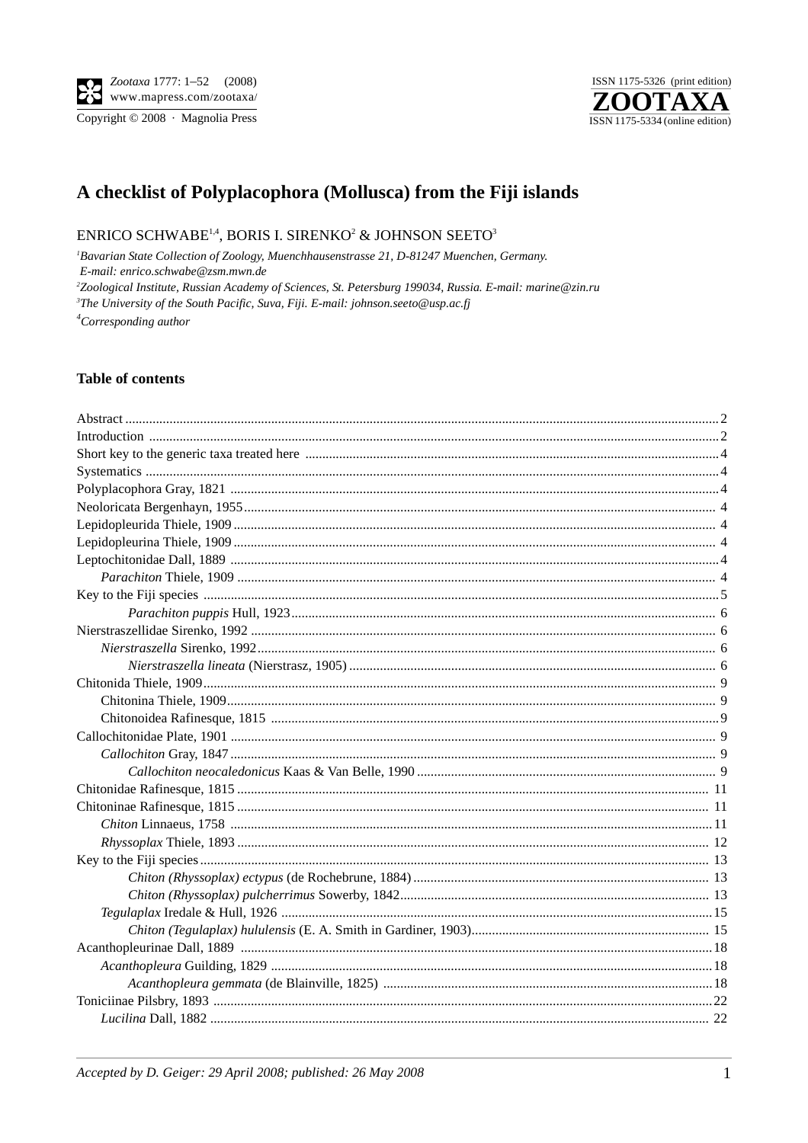Copyright © 2008 · Magnolia Press



# A checklist of Polyplacophora (Mollusca) from the Fiji islands

## ENRICO SCHWABE<sup>1,4</sup>, BORIS I. SIRENKO<sup>2</sup> & JOHNSON SEETO<sup>3</sup>

<sup>1</sup>Bavarian State Collection of Zoology, Muenchhausenstrasse 21, D-81247 Muenchen, Germany. E-mail: enrico.schwabe@zsm.mwn.de <sup>2</sup>Zoological Institute, Russian Academy of Sciences, St. Petersburg 199034, Russia. E-mail: marine@zin.ru <sup>3</sup>The University of the South Pacific, Suva, Fiji. E-mail: johnson.seeto@usp.ac.fj  ${}^4$ Corresponding author

### **Table of contents**